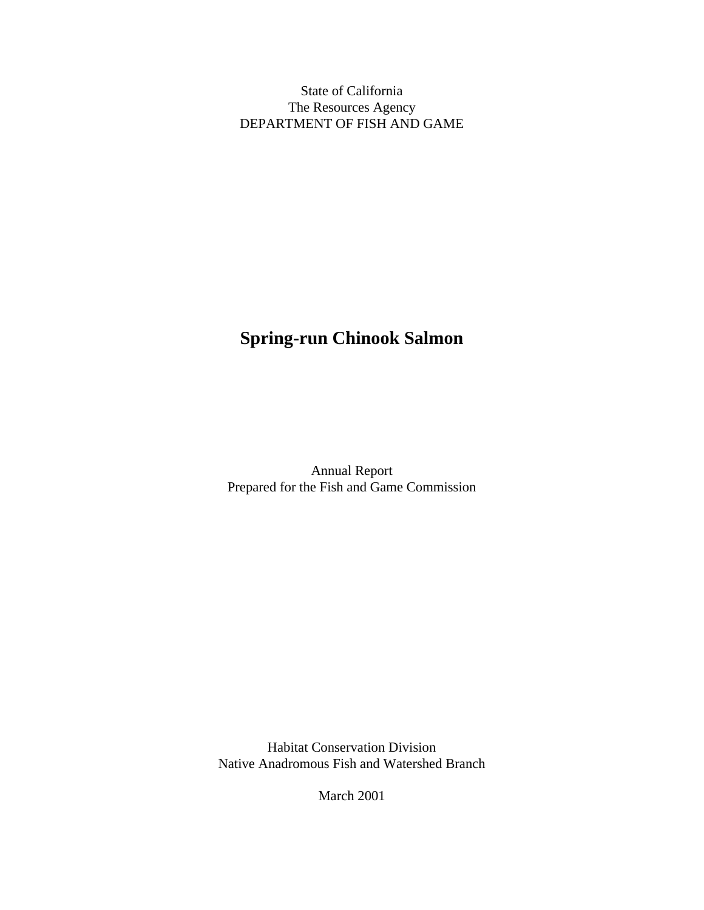State of California The Resources Agency DEPARTMENT OF FISH AND GAME

# **Spring-run Chinook Salmon**

Annual Report Prepared for the Fish and Game Commission

Habitat Conservation Division Native Anadromous Fish and Watershed Branch

March 2001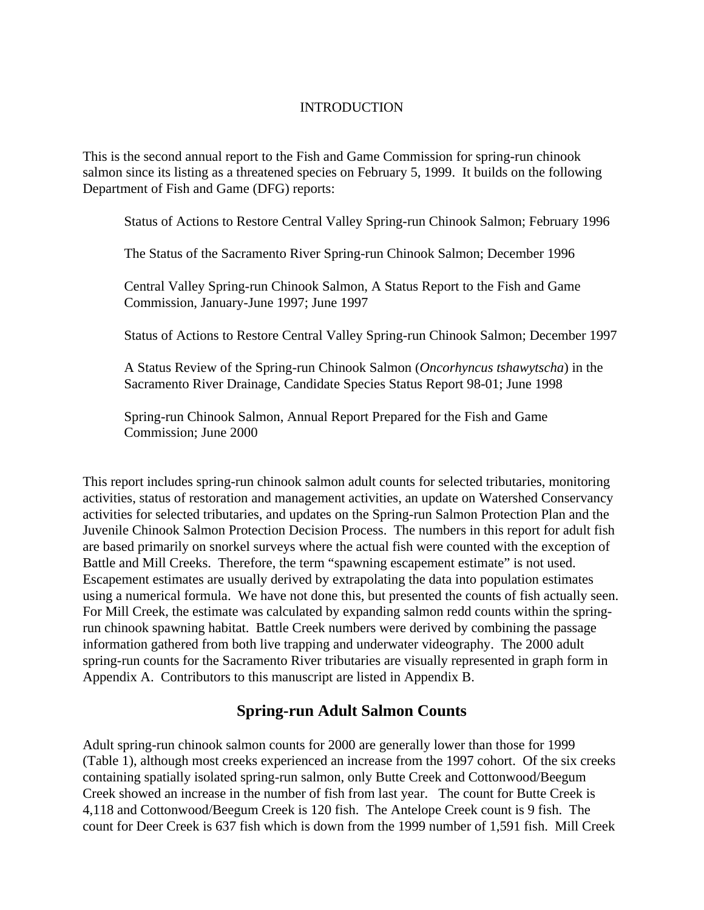### INTRODUCTION

This is the second annual report to the Fish and Game Commission for spring-run chinook salmon since its listing as a threatened species on February 5, 1999. It builds on the following Department of Fish and Game (DFG) reports:

Status of Actions to Restore Central Valley Spring-run Chinook Salmon; February 1996

The Status of the Sacramento River Spring-run Chinook Salmon; December 1996

Central Valley Spring-run Chinook Salmon, A Status Report to the Fish and Game Commission, January-June 1997; June 1997

Status of Actions to Restore Central Valley Spring-run Chinook Salmon; December 1997

A Status Review of the Spring-run Chinook Salmon (*Oncorhyncus tshawytscha*) in the Sacramento River Drainage, Candidate Species Status Report 98-01; June 1998

Spring-run Chinook Salmon, Annual Report Prepared for the Fish and Game Commission; June 2000

This report includes spring-run chinook salmon adult counts for selected tributaries, monitoring activities, status of restoration and management activities, an update on Watershed Conservancy activities for selected tributaries, and updates on the Spring-run Salmon Protection Plan and the Juvenile Chinook Salmon Protection Decision Process. The numbers in this report for adult fish are based primarily on snorkel surveys where the actual fish were counted with the exception of Battle and Mill Creeks. Therefore, the term "spawning escapement estimate" is not used. Escapement estimates are usually derived by extrapolating the data into population estimates using a numerical formula. We have not done this, but presented the counts of fish actually seen. For Mill Creek, the estimate was calculated by expanding salmon redd counts within the springrun chinook spawning habitat. Battle Creek numbers were derived by combining the passage information gathered from both live trapping and underwater videography. The 2000 adult spring-run counts for the Sacramento River tributaries are visually represented in graph form in Appendix A. Contributors to this manuscript are listed in Appendix B.

## **Spring-run Adult Salmon Counts**

Adult spring-run chinook salmon counts for 2000 are generally lower than those for 1999 (Table 1), although most creeks experienced an increase from the 1997 cohort. Of the six creeks containing spatially isolated spring-run salmon, only Butte Creek and Cottonwood/Beegum Creek showed an increase in the number of fish from last year. The count for Butte Creek is 4,118 and Cottonwood/Beegum Creek is 120 fish. The Antelope Creek count is 9 fish. The count for Deer Creek is 637 fish which is down from the 1999 number of 1,591 fish. Mill Creek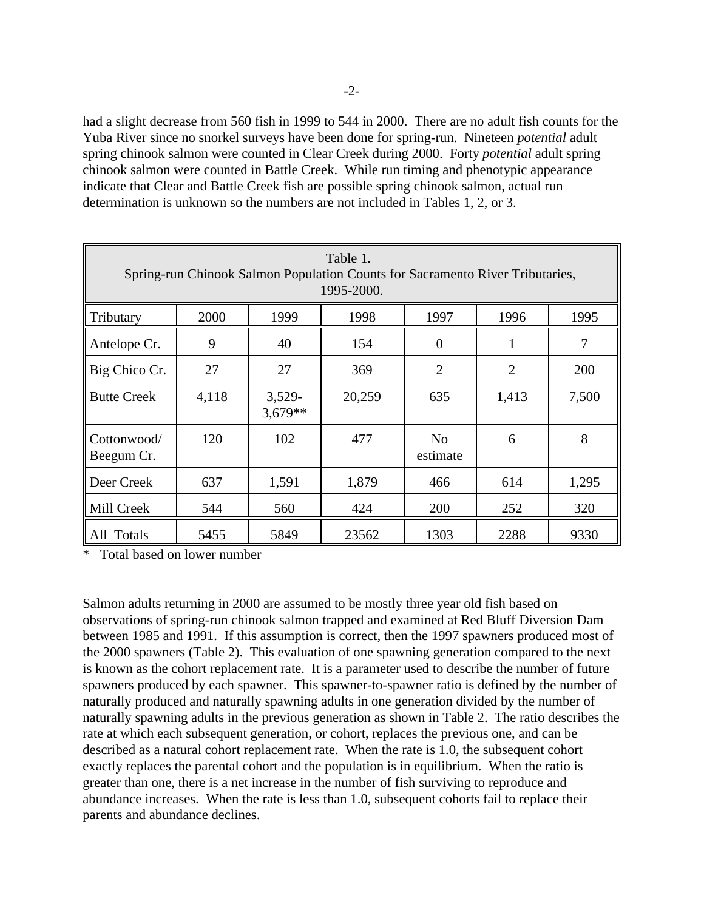had a slight decrease from 560 fish in 1999 to 544 in 2000. There are no adult fish counts for the Yuba River since no snorkel surveys have been done for spring-run. Nineteen *potential* adult spring chinook salmon were counted in Clear Creek during 2000. Forty *potential* adult spring chinook salmon were counted in Battle Creek. While run timing and phenotypic appearance indicate that Clear and Battle Creek fish are possible spring chinook salmon, actual run determination is unknown so the numbers are not included in Tables 1, 2, or 3.

| Table 1.<br>Spring-run Chinook Salmon Population Counts for Sacramento River Tributaries,<br>1995-2000. |       |                       |        |                            |                |       |  |
|---------------------------------------------------------------------------------------------------------|-------|-----------------------|--------|----------------------------|----------------|-------|--|
| Tributary                                                                                               | 2000  | 1999                  | 1998   | 1997                       | 1996           | 1995  |  |
| Antelope Cr.                                                                                            | 9     | 40                    | 154    | $\theta$                   | 1              | 7     |  |
| Big Chico Cr.                                                                                           | 27    | 27                    | 369    | $\overline{2}$             | $\overline{2}$ | 200   |  |
| <b>Butte Creek</b>                                                                                      | 4,118 | $3,529-$<br>$3,679**$ | 20,259 | 635                        | 1,413          | 7,500 |  |
| Cottonwood/<br>Beegum Cr.                                                                               | 120   | 102                   | 477    | N <sub>o</sub><br>estimate | 6              | 8     |  |
| Deer Creek                                                                                              | 637   | 1,591                 | 1,879  | 466                        | 614            | 1,295 |  |
| Mill Creek                                                                                              | 544   | 560                   | 424    | 200                        | 252            | 320   |  |
| All Totals                                                                                              | 5455  | 5849                  | 23562  | 1303                       | 2288           | 9330  |  |

\* Total based on lower number

Salmon adults returning in 2000 are assumed to be mostly three year old fish based on observations of spring-run chinook salmon trapped and examined at Red Bluff Diversion Dam between 1985 and 1991. If this assumption is correct, then the 1997 spawners produced most of the 2000 spawners (Table 2). This evaluation of one spawning generation compared to the next is known as the cohort replacement rate. It is a parameter used to describe the number of future spawners produced by each spawner. This spawner-to-spawner ratio is defined by the number of naturally produced and naturally spawning adults in one generation divided by the number of naturally spawning adults in the previous generation as shown in Table 2. The ratio describes the rate at which each subsequent generation, or cohort, replaces the previous one, and can be described as a natural cohort replacement rate. When the rate is 1.0, the subsequent cohort exactly replaces the parental cohort and the population is in equilibrium. When the ratio is greater than one, there is a net increase in the number of fish surviving to reproduce and abundance increases. When the rate is less than 1.0, subsequent cohorts fail to replace their parents and abundance declines.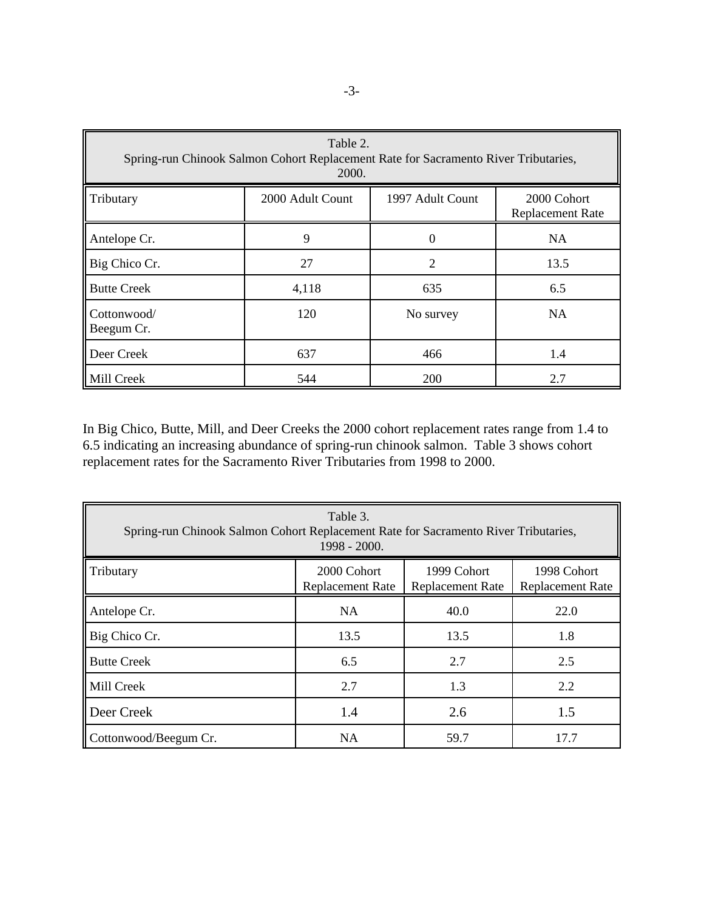| Table 2.<br>Spring-run Chinook Salmon Cohort Replacement Rate for Sacramento River Tributaries,<br>2000. |                  |                  |                                        |  |  |
|----------------------------------------------------------------------------------------------------------|------------------|------------------|----------------------------------------|--|--|
| <b>Tributary</b>                                                                                         | 2000 Adult Count | 1997 Adult Count | 2000 Cohort<br><b>Replacement Rate</b> |  |  |
| Antelope Cr.                                                                                             | 9                | $\overline{0}$   | <b>NA</b>                              |  |  |
| Big Chico Cr.                                                                                            | 27               | $\overline{2}$   | 13.5                                   |  |  |
| <b>Butte Creek</b>                                                                                       | 4,118            | 635              | 6.5                                    |  |  |
| Cottonwood/<br>Beegum Cr.                                                                                | 120              | No survey        | <b>NA</b>                              |  |  |
| Deer Creek                                                                                               | 637              | 466              | 1.4                                    |  |  |
| Mill Creek                                                                                               | 544              | 200              | 2.7                                    |  |  |

In Big Chico, Butte, Mill, and Deer Creeks the 2000 cohort replacement rates range from 1.4 to 6.5 indicating an increasing abundance of spring-run chinook salmon. Table 3 shows cohort replacement rates for the Sacramento River Tributaries from 1998 to 2000.

| Table 3.<br>Spring-run Chinook Salmon Cohort Replacement Rate for Sacramento River Tributaries,<br>1998 - 2000. |                                        |                                        |                                        |  |  |
|-----------------------------------------------------------------------------------------------------------------|----------------------------------------|----------------------------------------|----------------------------------------|--|--|
| Tributary                                                                                                       | 2000 Cohort<br><b>Replacement Rate</b> | 1999 Cohort<br><b>Replacement Rate</b> | 1998 Cohort<br><b>Replacement Rate</b> |  |  |
| Antelope Cr.                                                                                                    | <b>NA</b>                              | 40.0                                   | 22.0                                   |  |  |
| Big Chico Cr.                                                                                                   | 13.5                                   | 13.5                                   | 1.8                                    |  |  |
| <b>Butte Creek</b>                                                                                              | 6.5                                    | 2.7                                    | 2.5                                    |  |  |
| Mill Creek                                                                                                      | 2.7                                    | 1.3                                    | 2.2                                    |  |  |
| Deer Creek                                                                                                      | 1.4                                    | 2.6                                    | 1.5                                    |  |  |
| Cottonwood/Beegum Cr.                                                                                           | <b>NA</b>                              | 59.7                                   | 17.7                                   |  |  |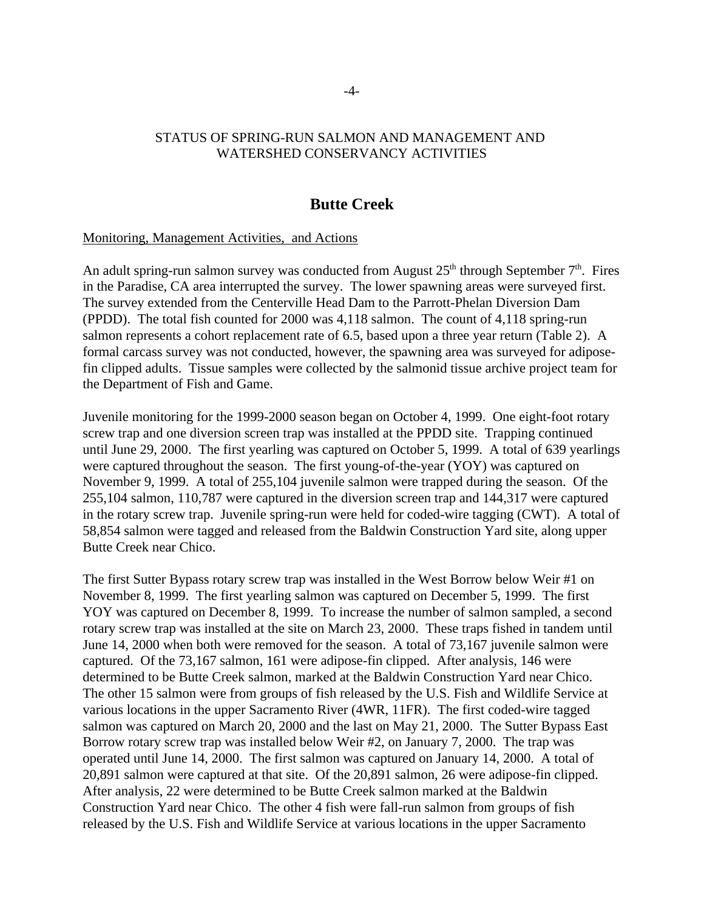### STATUS OF SPRING-RUN SALMON AND MANAGEMENT AND WATERSHED CONSERVANCY ACTIVITIES

### **Butte Creek**

#### Monitoring, Management Activities, and Actions

An adult spring-run salmon survey was conducted from August  $25<sup>th</sup>$  through September  $7<sup>th</sup>$ . Fires in the Paradise, CA area interrupted the survey. The lower spawning areas were surveyed first. The survey extended from the Centerville Head Dam to the Parrott-Phelan Diversion Dam (PPDD). The total fish counted for 2000 was 4,118 salmon. The count of 4,118 spring-run salmon represents a cohort replacement rate of 6.5, based upon a three year return (Table 2). A formal carcass survey was not conducted, however, the spawning area was surveyed for adiposefin clipped adults. Tissue samples were collected by the salmonid tissue archive project team for the Department of Fish and Game.

Juvenile monitoring for the 1999-2000 season began on October 4, 1999. One eight-foot rotary screw trap and one diversion screen trap was installed at the PPDD site. Trapping continued until June 29, 2000. The first yearling was captured on October 5, 1999. A total of 639 yearlings were captured throughout the season. The first young-of-the-year (YOY) was captured on November 9, 1999. A total of 255,104 juvenile salmon were trapped during the season. Of the 255,104 salmon, 110,787 were captured in the diversion screen trap and 144,317 were captured in the rotary screw trap. Juvenile spring-run were held for coded-wire tagging (CWT). A total of 58,854 salmon were tagged and released from the Baldwin Construction Yard site, along upper Butte Creek near Chico.

The first Sutter Bypass rotary screw trap was installed in the West Borrow below Weir #1 on November 8, 1999. The first yearling salmon was captured on December 5, 1999. The first YOY was captured on December 8, 1999. To increase the number of salmon sampled, a second rotary screw trap was installed at the site on March 23, 2000. These traps fished in tandem until June 14, 2000 when both were removed for the season. A total of 73,167 juvenile salmon were captured. Of the 73,167 salmon, 161 were adipose-fin clipped. After analysis, 146 were determined to be Butte Creek salmon, marked at the Baldwin Construction Yard near Chico. The other 15 salmon were from groups of fish released by the U.S. Fish and Wildlife Service at various locations in the upper Sacramento River (4WR, 11FR). The first coded-wire tagged salmon was captured on March 20, 2000 and the last on May 21, 2000. The Sutter Bypass East Borrow rotary screw trap was installed below Weir #2, on January 7, 2000. The trap was operated until June 14, 2000. The first salmon was captured on January 14, 2000. A total of 20,891 salmon were captured at that site. Of the 20,891 salmon, 26 were adipose-fin clipped. After analysis, 22 were determined to be Butte Creek salmon marked at the Baldwin Construction Yard near Chico. The other 4 fish were fall-run salmon from groups of fish released by the U.S. Fish and Wildlife Service at various locations in the upper Sacramento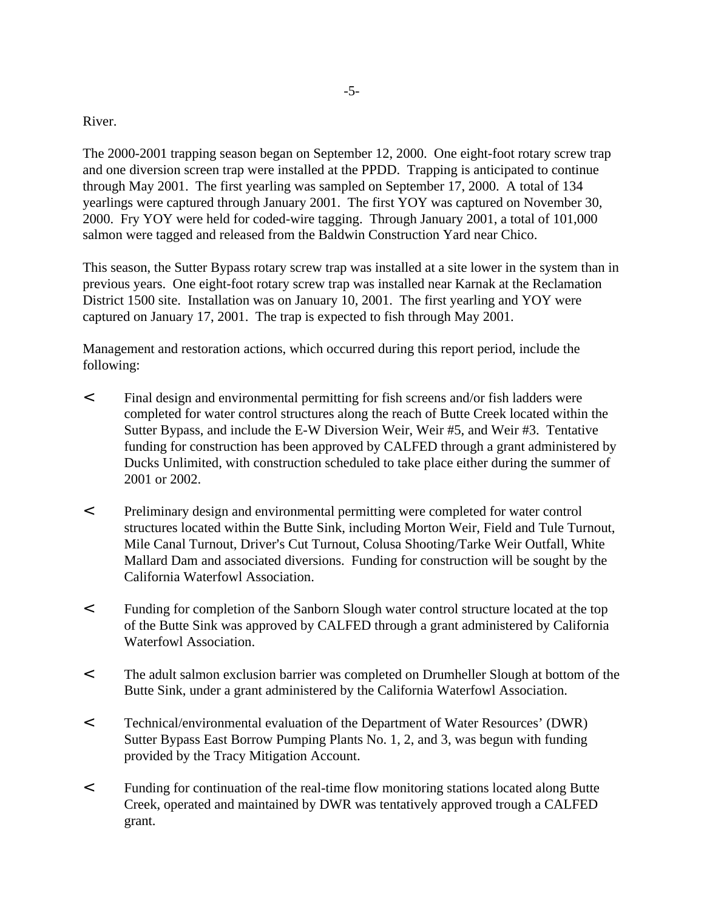#### River.

The 2000-2001 trapping season began on September 12, 2000. One eight-foot rotary screw trap and one diversion screen trap were installed at the PPDD. Trapping is anticipated to continue through May 2001. The first yearling was sampled on September 17, 2000. A total of 134 yearlings were captured through January 2001. The first YOY was captured on November 30, 2000. Fry YOY were held for coded-wire tagging. Through January 2001, a total of 101,000 salmon were tagged and released from the Baldwin Construction Yard near Chico.

This season, the Sutter Bypass rotary screw trap was installed at a site lower in the system than in previous years. One eight-foot rotary screw trap was installed near Karnak at the Reclamation District 1500 site. Installation was on January 10, 2001. The first yearling and YOY were captured on January 17, 2001. The trap is expected to fish through May 2001.

Management and restoration actions, which occurred during this report period, include the following:

- < Final design and environmental permitting for fish screens and/or fish ladders were completed for water control structures along the reach of Butte Creek located within the Sutter Bypass, and include the E-W Diversion Weir, Weir #5, and Weir #3. Tentative funding for construction has been approved by CALFED through a grant administered by Ducks Unlimited, with construction scheduled to take place either during the summer of 2001 or 2002.
- < Preliminary design and environmental permitting were completed for water control structures located within the Butte Sink, including Morton Weir, Field and Tule Turnout, Mile Canal Turnout, Driver's Cut Turnout, Colusa Shooting/Tarke Weir Outfall, White Mallard Dam and associated diversions. Funding for construction will be sought by the California Waterfowl Association.
- < Funding for completion of the Sanborn Slough water control structure located at the top of the Butte Sink was approved by CALFED through a grant administered by California Waterfowl Association.
- < The adult salmon exclusion barrier was completed on Drumheller Slough at bottom of the Butte Sink, under a grant administered by the California Waterfowl Association.
- < Technical/environmental evaluation of the Department of Water Resources' (DWR) Sutter Bypass East Borrow Pumping Plants No. 1, 2, and 3, was begun with funding provided by the Tracy Mitigation Account.
- < Funding for continuation of the real-time flow monitoring stations located along Butte Creek, operated and maintained by DWR was tentatively approved trough a CALFED grant.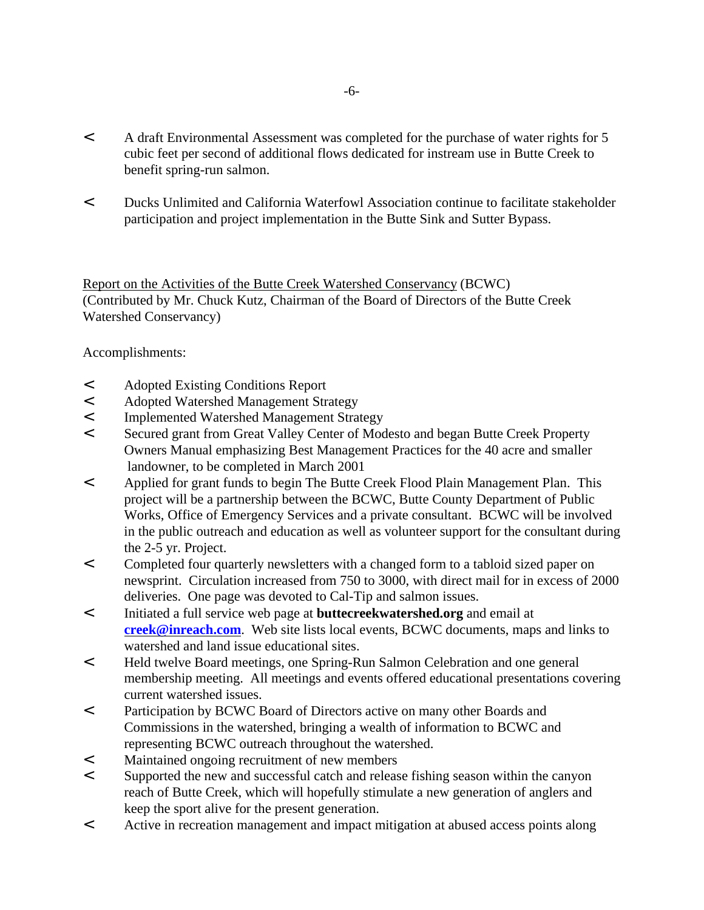- < A draft Environmental Assessment was completed for the purchase of water rights for 5 cubic feet per second of additional flows dedicated for instream use in Butte Creek to benefit spring-run salmon.
- < Ducks Unlimited and California Waterfowl Association continue to facilitate stakeholder participation and project implementation in the Butte Sink and Sutter Bypass.

Report on the Activities of the Butte Creek Watershed Conservancy (BCWC) (Contributed by Mr. Chuck Kutz, Chairman of the Board of Directors of the Butte Creek Watershed Conservancy)

Accomplishments:

- < Adopted Existing Conditions Report
- < Adopted Watershed Management Strategy
- < Implemented Watershed Management Strategy
- < Secured grant from Great Valley Center of Modesto and began Butte Creek Property Owners Manual emphasizing Best Management Practices for the 40 acre and smaller landowner, to be completed in March 2001
- < Applied for grant funds to begin The Butte Creek Flood Plain Management Plan. This project will be a partnership between the BCWC, Butte County Department of Public Works, Office of Emergency Services and a private consultant. BCWC will be involved in the public outreach and education as well as volunteer support for the consultant during the 2-5 yr. Project.
- < Completed four quarterly newsletters with a changed form to a tabloid sized paper on newsprint. Circulation increased from 750 to 3000, with direct mail for in excess of 2000 deliveries. One page was devoted to Cal-Tip and salmon issues.
- < Initiated a full service web page at **buttecreekwatershed.org** and email at **creek@inreach.com**. Web site lists local events, BCWC documents, maps and links to watershed and land issue educational sites.
- < Held twelve Board meetings, one Spring-Run Salmon Celebration and one general membership meeting. All meetings and events offered educational presentations covering current watershed issues.
- < Participation by BCWC Board of Directors active on many other Boards and Commissions in the watershed, bringing a wealth of information to BCWC and representing BCWC outreach throughout the watershed.
- < Maintained ongoing recruitment of new members
- < Supported the new and successful catch and release fishing season within the canyon reach of Butte Creek, which will hopefully stimulate a new generation of anglers and keep the sport alive for the present generation.
- < Active in recreation management and impact mitigation at abused access points along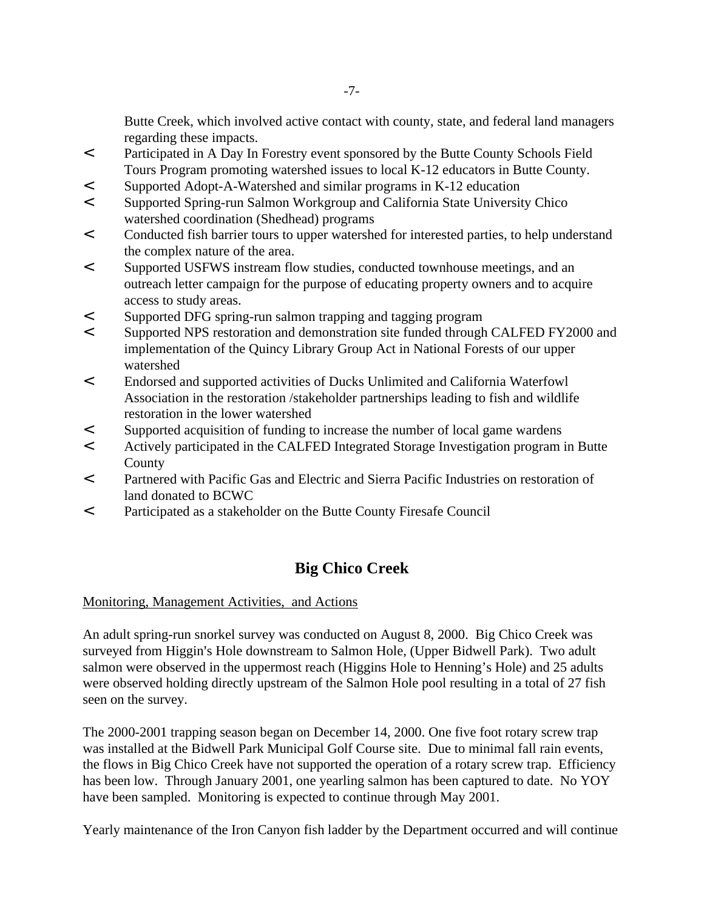Butte Creek, which involved active contact with county, state, and federal land managers regarding these impacts.

- < Participated in A Day In Forestry event sponsored by the Butte County Schools Field Tours Program promoting watershed issues to local K-12 educators in Butte County.
- < Supported Adopt-A-Watershed and similar programs in K-12 education
- < Supported Spring-run Salmon Workgroup and California State University Chico watershed coordination (Shedhead) programs
- < Conducted fish barrier tours to upper watershed for interested parties, to help understand the complex nature of the area.
- < Supported USFWS instream flow studies, conducted townhouse meetings, and an outreach letter campaign for the purpose of educating property owners and to acquire access to study areas.
- < Supported DFG spring-run salmon trapping and tagging program
- < Supported NPS restoration and demonstration site funded through CALFED FY2000 and implementation of the Quincy Library Group Act in National Forests of our upper watershed
- < Endorsed and supported activities of Ducks Unlimited and California Waterfowl Association in the restoration /stakeholder partnerships leading to fish and wildlife restoration in the lower watershed
- < Supported acquisition of funding to increase the number of local game wardens
- < Actively participated in the CALFED Integrated Storage Investigation program in Butte County
- < Partnered with Pacific Gas and Electric and Sierra Pacific Industries on restoration of land donated to BCWC
- < Participated as a stakeholder on the Butte County Firesafe Council

# **Big Chico Creek**

#### Monitoring, Management Activities, and Actions

An adult spring-run snorkel survey was conducted on August 8, 2000. Big Chico Creek was surveyed from Higgin's Hole downstream to Salmon Hole, (Upper Bidwell Park). Two adult salmon were observed in the uppermost reach (Higgins Hole to Henning's Hole) and 25 adults were observed holding directly upstream of the Salmon Hole pool resulting in a total of 27 fish seen on the survey.

The 2000-2001 trapping season began on December 14, 2000. One five foot rotary screw trap was installed at the Bidwell Park Municipal Golf Course site. Due to minimal fall rain events, the flows in Big Chico Creek have not supported the operation of a rotary screw trap. Efficiency has been low. Through January 2001, one yearling salmon has been captured to date. No YOY have been sampled. Monitoring is expected to continue through May 2001.

Yearly maintenance of the Iron Canyon fish ladder by the Department occurred and will continue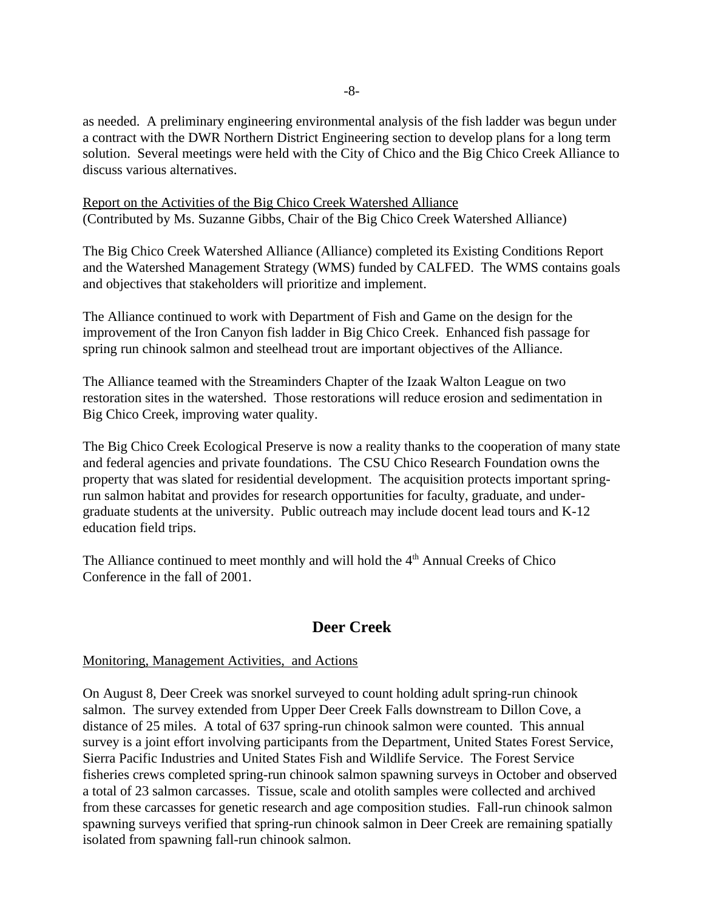as needed. A preliminary engineering environmental analysis of the fish ladder was begun under a contract with the DWR Northern District Engineering section to develop plans for a long term solution. Several meetings were held with the City of Chico and the Big Chico Creek Alliance to discuss various alternatives.

Report on the Activities of the Big Chico Creek Watershed Alliance (Contributed by Ms. Suzanne Gibbs, Chair of the Big Chico Creek Watershed Alliance)

The Big Chico Creek Watershed Alliance (Alliance) completed its Existing Conditions Report and the Watershed Management Strategy (WMS) funded by CALFED. The WMS contains goals and objectives that stakeholders will prioritize and implement.

The Alliance continued to work with Department of Fish and Game on the design for the improvement of the Iron Canyon fish ladder in Big Chico Creek. Enhanced fish passage for spring run chinook salmon and steelhead trout are important objectives of the Alliance.

The Alliance teamed with the Streaminders Chapter of the Izaak Walton League on two restoration sites in the watershed. Those restorations will reduce erosion and sedimentation in Big Chico Creek, improving water quality.

The Big Chico Creek Ecological Preserve is now a reality thanks to the cooperation of many state and federal agencies and private foundations. The CSU Chico Research Foundation owns the property that was slated for residential development. The acquisition protects important springrun salmon habitat and provides for research opportunities for faculty, graduate, and undergraduate students at the university. Public outreach may include docent lead tours and K-12 education field trips.

The Alliance continued to meet monthly and will hold the  $4<sup>th</sup>$  Annual Creeks of Chico Conference in the fall of 2001.

# **Deer Creek**

### Monitoring, Management Activities, and Actions

On August 8, Deer Creek was snorkel surveyed to count holding adult spring-run chinook salmon. The survey extended from Upper Deer Creek Falls downstream to Dillon Cove, a distance of 25 miles. A total of 637 spring-run chinook salmon were counted. This annual survey is a joint effort involving participants from the Department, United States Forest Service, Sierra Pacific Industries and United States Fish and Wildlife Service. The Forest Service fisheries crews completed spring-run chinook salmon spawning surveys in October and observed a total of 23 salmon carcasses. Tissue, scale and otolith samples were collected and archived from these carcasses for genetic research and age composition studies. Fall-run chinook salmon spawning surveys verified that spring-run chinook salmon in Deer Creek are remaining spatially isolated from spawning fall-run chinook salmon.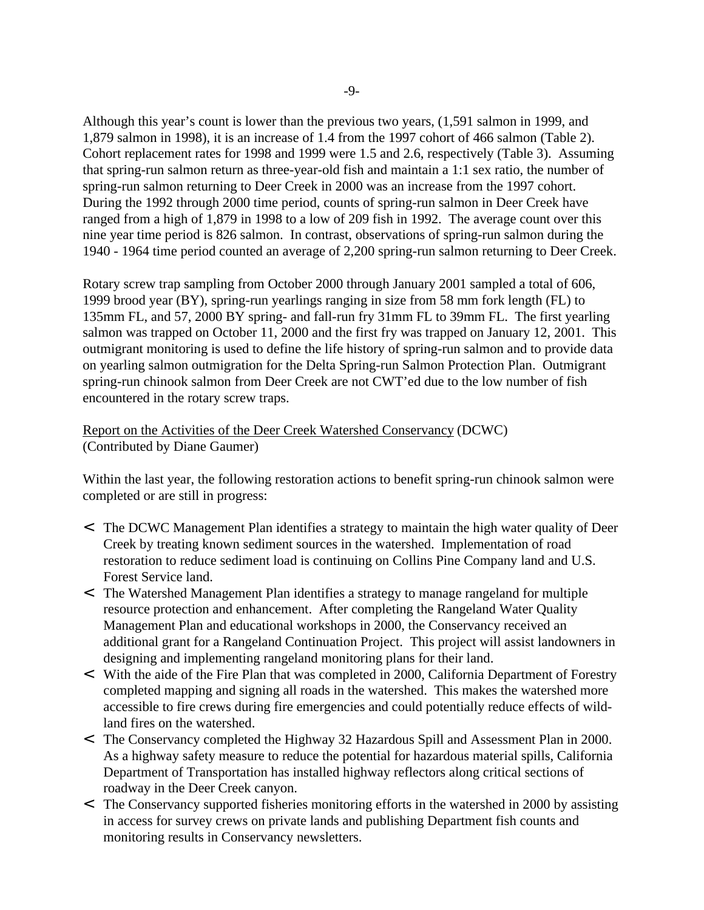Although this year's count is lower than the previous two years, (1,591 salmon in 1999, and 1,879 salmon in 1998), it is an increase of 1.4 from the 1997 cohort of 466 salmon (Table 2). Cohort replacement rates for 1998 and 1999 were 1.5 and 2.6, respectively (Table 3). Assuming that spring-run salmon return as three-year-old fish and maintain a 1:1 sex ratio, the number of spring-run salmon returning to Deer Creek in 2000 was an increase from the 1997 cohort. During the 1992 through 2000 time period, counts of spring-run salmon in Deer Creek have ranged from a high of 1,879 in 1998 to a low of 209 fish in 1992. The average count over this nine year time period is 826 salmon. In contrast, observations of spring-run salmon during the 1940 - 1964 time period counted an average of 2,200 spring-run salmon returning to Deer Creek.

Rotary screw trap sampling from October 2000 through January 2001 sampled a total of 606, 1999 brood year (BY), spring-run yearlings ranging in size from 58 mm fork length (FL) to 135mm FL, and 57, 2000 BY spring- and fall-run fry 31mm FL to 39mm FL. The first yearling salmon was trapped on October 11, 2000 and the first fry was trapped on January 12, 2001. This outmigrant monitoring is used to define the life history of spring-run salmon and to provide data on yearling salmon outmigration for the Delta Spring-run Salmon Protection Plan. Outmigrant spring-run chinook salmon from Deer Creek are not CWT'ed due to the low number of fish encountered in the rotary screw traps.

### Report on the Activities of the Deer Creek Watershed Conservancy (DCWC) (Contributed by Diane Gaumer)

Within the last year, the following restoration actions to benefit spring-run chinook salmon were completed or are still in progress:

- < The DCWC Management Plan identifies a strategy to maintain the high water quality of Deer Creek by treating known sediment sources in the watershed. Implementation of road restoration to reduce sediment load is continuing on Collins Pine Company land and U.S. Forest Service land.
- < The Watershed Management Plan identifies a strategy to manage rangeland for multiple resource protection and enhancement. After completing the Rangeland Water Quality Management Plan and educational workshops in 2000, the Conservancy received an additional grant for a Rangeland Continuation Project. This project will assist landowners in designing and implementing rangeland monitoring plans for their land.
- < With the aide of the Fire Plan that was completed in 2000, California Department of Forestry completed mapping and signing all roads in the watershed. This makes the watershed more accessible to fire crews during fire emergencies and could potentially reduce effects of wildland fires on the watershed.
- < The Conservancy completed the Highway 32 Hazardous Spill and Assessment Plan in 2000. As a highway safety measure to reduce the potential for hazardous material spills, California Department of Transportation has installed highway reflectors along critical sections of roadway in the Deer Creek canyon.
- < The Conservancy supported fisheries monitoring efforts in the watershed in 2000 by assisting in access for survey crews on private lands and publishing Department fish counts and monitoring results in Conservancy newsletters.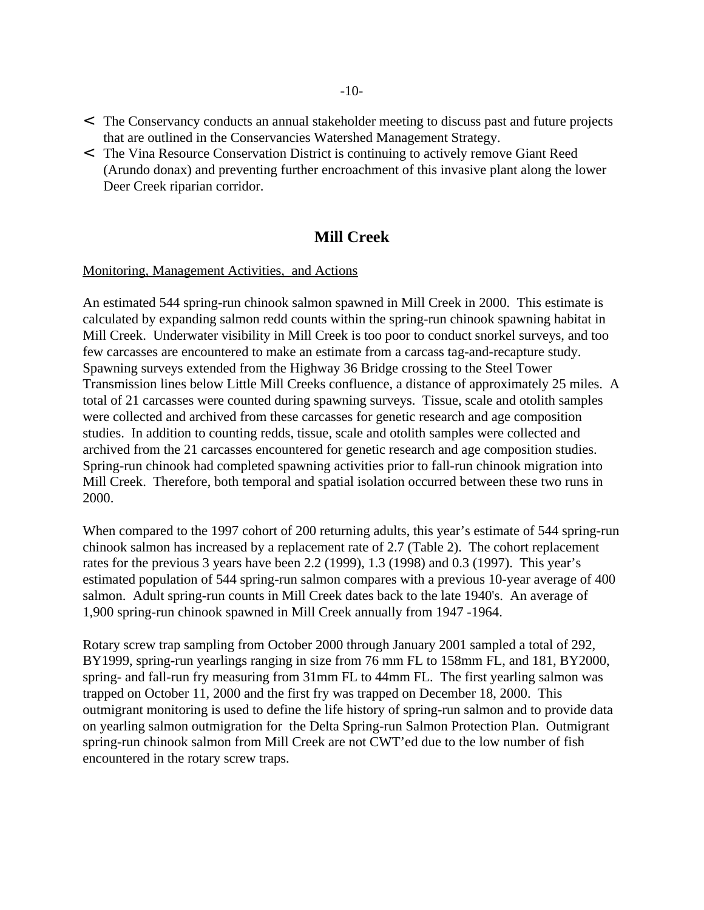- < The Conservancy conducts an annual stakeholder meeting to discuss past and future projects that are outlined in the Conservancies Watershed Management Strategy.
- < The Vina Resource Conservation District is continuing to actively remove Giant Reed (Arundo donax) and preventing further encroachment of this invasive plant along the lower Deer Creek riparian corridor.

## **Mill Creek**

#### Monitoring, Management Activities, and Actions

An estimated 544 spring-run chinook salmon spawned in Mill Creek in 2000. This estimate is calculated by expanding salmon redd counts within the spring-run chinook spawning habitat in Mill Creek. Underwater visibility in Mill Creek is too poor to conduct snorkel surveys, and too few carcasses are encountered to make an estimate from a carcass tag-and-recapture study. Spawning surveys extended from the Highway 36 Bridge crossing to the Steel Tower Transmission lines below Little Mill Creeks confluence, a distance of approximately 25 miles. A total of 21 carcasses were counted during spawning surveys. Tissue, scale and otolith samples were collected and archived from these carcasses for genetic research and age composition studies. In addition to counting redds, tissue, scale and otolith samples were collected and archived from the 21 carcasses encountered for genetic research and age composition studies. Spring-run chinook had completed spawning activities prior to fall-run chinook migration into Mill Creek. Therefore, both temporal and spatial isolation occurred between these two runs in 2000.

When compared to the 1997 cohort of 200 returning adults, this year's estimate of 544 spring-run chinook salmon has increased by a replacement rate of 2.7 (Table 2). The cohort replacement rates for the previous 3 years have been 2.2 (1999), 1.3 (1998) and 0.3 (1997). This year's estimated population of 544 spring-run salmon compares with a previous 10-year average of 400 salmon. Adult spring-run counts in Mill Creek dates back to the late 1940's. An average of 1,900 spring-run chinook spawned in Mill Creek annually from 1947 -1964.

Rotary screw trap sampling from October 2000 through January 2001 sampled a total of 292, BY1999, spring-run yearlings ranging in size from 76 mm FL to 158mm FL, and 181, BY2000, spring- and fall-run fry measuring from 31mm FL to 44mm FL. The first yearling salmon was trapped on October 11, 2000 and the first fry was trapped on December 18, 2000. This outmigrant monitoring is used to define the life history of spring-run salmon and to provide data on yearling salmon outmigration for the Delta Spring-run Salmon Protection Plan. Outmigrant spring-run chinook salmon from Mill Creek are not CWT'ed due to the low number of fish encountered in the rotary screw traps.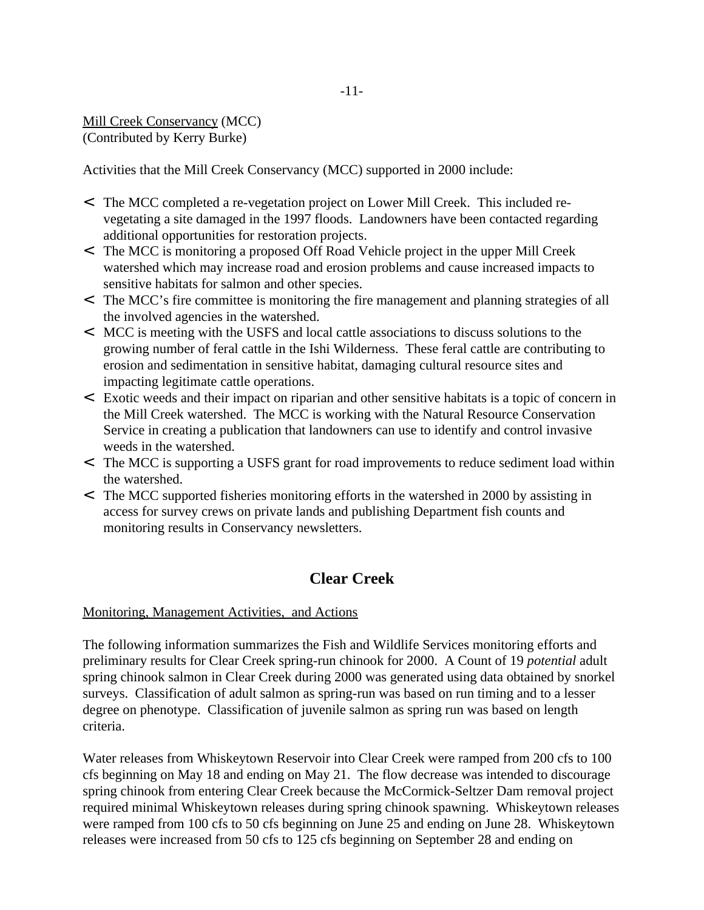Mill Creek Conservancy (MCC) (Contributed by Kerry Burke)

Activities that the Mill Creek Conservancy (MCC) supported in 2000 include:

- < The MCC completed a re-vegetation project on Lower Mill Creek. This included revegetating a site damaged in the 1997 floods. Landowners have been contacted regarding additional opportunities for restoration projects.
- < The MCC is monitoring a proposed Off Road Vehicle project in the upper Mill Creek watershed which may increase road and erosion problems and cause increased impacts to sensitive habitats for salmon and other species.
- < The MCC's fire committee is monitoring the fire management and planning strategies of all the involved agencies in the watershed.
- < MCC is meeting with the USFS and local cattle associations to discuss solutions to the growing number of feral cattle in the Ishi Wilderness. These feral cattle are contributing to erosion and sedimentation in sensitive habitat, damaging cultural resource sites and impacting legitimate cattle operations.
- < Exotic weeds and their impact on riparian and other sensitive habitats is a topic of concern in the Mill Creek watershed. The MCC is working with the Natural Resource Conservation Service in creating a publication that landowners can use to identify and control invasive weeds in the watershed.
- < The MCC is supporting a USFS grant for road improvements to reduce sediment load within the watershed.
- < The MCC supported fisheries monitoring efforts in the watershed in 2000 by assisting in access for survey crews on private lands and publishing Department fish counts and monitoring results in Conservancy newsletters.

# **Clear Creek**

#### Monitoring, Management Activities, and Actions

The following information summarizes the Fish and Wildlife Services monitoring efforts and preliminary results for Clear Creek spring-run chinook for 2000. A Count of 19 *potential* adult spring chinook salmon in Clear Creek during 2000 was generated using data obtained by snorkel surveys. Classification of adult salmon as spring-run was based on run timing and to a lesser degree on phenotype. Classification of juvenile salmon as spring run was based on length criteria.

Water releases from Whiskeytown Reservoir into Clear Creek were ramped from 200 cfs to 100 cfs beginning on May 18 and ending on May 21. The flow decrease was intended to discourage spring chinook from entering Clear Creek because the McCormick-Seltzer Dam removal project required minimal Whiskeytown releases during spring chinook spawning. Whiskeytown releases were ramped from 100 cfs to 50 cfs beginning on June 25 and ending on June 28. Whiskeytown releases were increased from 50 cfs to 125 cfs beginning on September 28 and ending on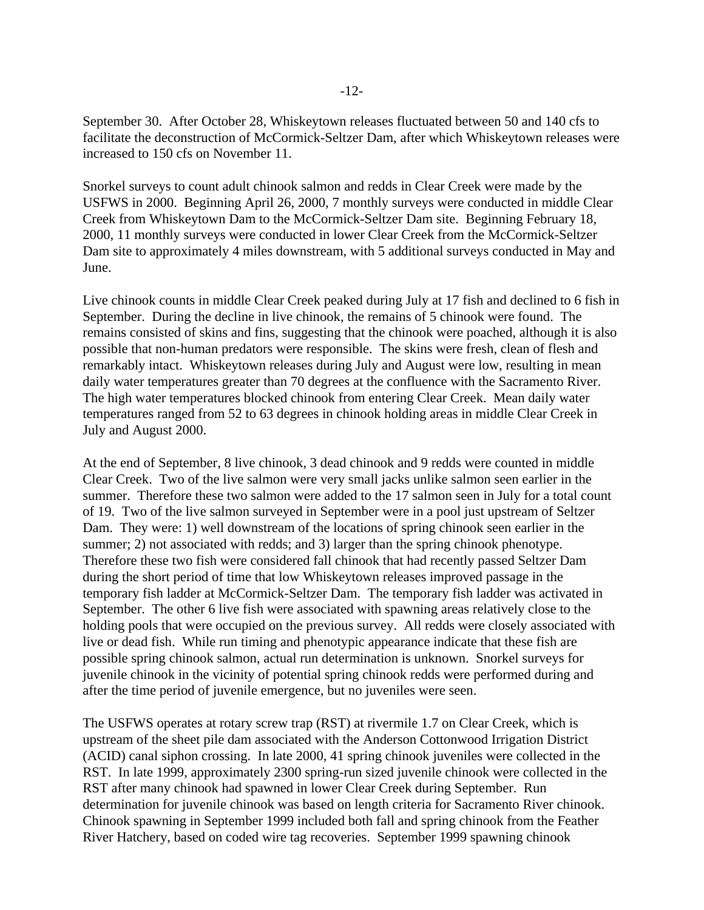September 30. After October 28, Whiskeytown releases fluctuated between 50 and 140 cfs to facilitate the deconstruction of McCormick-Seltzer Dam, after which Whiskeytown releases were increased to 150 cfs on November 11.

Snorkel surveys to count adult chinook salmon and redds in Clear Creek were made by the USFWS in 2000. Beginning April 26, 2000, 7 monthly surveys were conducted in middle Clear Creek from Whiskeytown Dam to the McCormick-Seltzer Dam site. Beginning February 18, 2000, 11 monthly surveys were conducted in lower Clear Creek from the McCormick-Seltzer Dam site to approximately 4 miles downstream, with 5 additional surveys conducted in May and June.

Live chinook counts in middle Clear Creek peaked during July at 17 fish and declined to 6 fish in September. During the decline in live chinook, the remains of 5 chinook were found. The remains consisted of skins and fins, suggesting that the chinook were poached, although it is also possible that non-human predators were responsible. The skins were fresh, clean of flesh and remarkably intact. Whiskeytown releases during July and August were low, resulting in mean daily water temperatures greater than 70 degrees at the confluence with the Sacramento River. The high water temperatures blocked chinook from entering Clear Creek. Mean daily water temperatures ranged from 52 to 63 degrees in chinook holding areas in middle Clear Creek in July and August 2000.

At the end of September, 8 live chinook, 3 dead chinook and 9 redds were counted in middle Clear Creek. Two of the live salmon were very small jacks unlike salmon seen earlier in the summer. Therefore these two salmon were added to the 17 salmon seen in July for a total count of 19. Two of the live salmon surveyed in September were in a pool just upstream of Seltzer Dam. They were: 1) well downstream of the locations of spring chinook seen earlier in the summer; 2) not associated with redds; and 3) larger than the spring chinook phenotype. Therefore these two fish were considered fall chinook that had recently passed Seltzer Dam during the short period of time that low Whiskeytown releases improved passage in the temporary fish ladder at McCormick-Seltzer Dam. The temporary fish ladder was activated in September. The other 6 live fish were associated with spawning areas relatively close to the holding pools that were occupied on the previous survey. All redds were closely associated with live or dead fish. While run timing and phenotypic appearance indicate that these fish are possible spring chinook salmon, actual run determination is unknown. Snorkel surveys for juvenile chinook in the vicinity of potential spring chinook redds were performed during and after the time period of juvenile emergence, but no juveniles were seen.

The USFWS operates at rotary screw trap (RST) at rivermile 1.7 on Clear Creek, which is upstream of the sheet pile dam associated with the Anderson Cottonwood Irrigation District (ACID) canal siphon crossing. In late 2000, 41 spring chinook juveniles were collected in the RST. In late 1999, approximately 2300 spring-run sized juvenile chinook were collected in the RST after many chinook had spawned in lower Clear Creek during September. Run determination for juvenile chinook was based on length criteria for Sacramento River chinook. Chinook spawning in September 1999 included both fall and spring chinook from the Feather River Hatchery, based on coded wire tag recoveries. September 1999 spawning chinook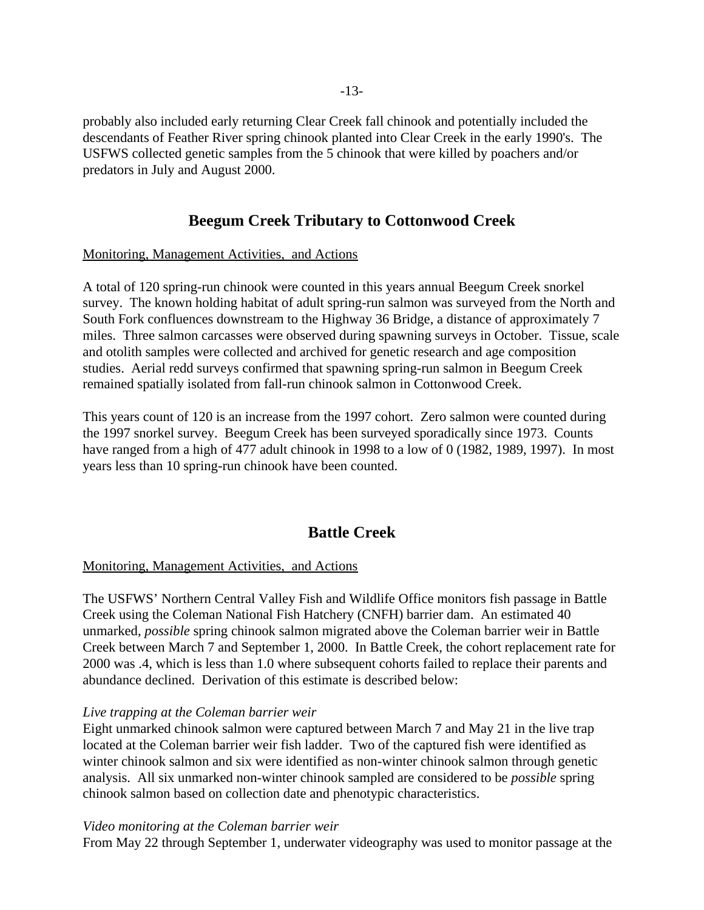probably also included early returning Clear Creek fall chinook and potentially included the descendants of Feather River spring chinook planted into Clear Creek in the early 1990's. The USFWS collected genetic samples from the 5 chinook that were killed by poachers and/or predators in July and August 2000.

# **Beegum Creek Tributary to Cottonwood Creek**

#### Monitoring, Management Activities, and Actions

A total of 120 spring-run chinook were counted in this years annual Beegum Creek snorkel survey. The known holding habitat of adult spring-run salmon was surveyed from the North and South Fork confluences downstream to the Highway 36 Bridge, a distance of approximately 7 miles. Three salmon carcasses were observed during spawning surveys in October. Tissue, scale and otolith samples were collected and archived for genetic research and age composition studies. Aerial redd surveys confirmed that spawning spring-run salmon in Beegum Creek remained spatially isolated from fall-run chinook salmon in Cottonwood Creek.

This years count of 120 is an increase from the 1997 cohort. Zero salmon were counted during the 1997 snorkel survey. Beegum Creek has been surveyed sporadically since 1973. Counts have ranged from a high of 477 adult chinook in 1998 to a low of 0 (1982, 1989, 1997). In most years less than 10 spring-run chinook have been counted.

## **Battle Creek**

#### Monitoring, Management Activities, and Actions

The USFWS' Northern Central Valley Fish and Wildlife Office monitors fish passage in Battle Creek using the Coleman National Fish Hatchery (CNFH) barrier dam. An estimated 40 unmarked, *possible* spring chinook salmon migrated above the Coleman barrier weir in Battle Creek between March 7 and September 1, 2000. In Battle Creek, the cohort replacement rate for 2000 was .4, which is less than 1.0 where subsequent cohorts failed to replace their parents and abundance declined. Derivation of this estimate is described below:

#### *Live trapping at the Coleman barrier weir*

Eight unmarked chinook salmon were captured between March 7 and May 21 in the live trap located at the Coleman barrier weir fish ladder. Two of the captured fish were identified as winter chinook salmon and six were identified as non-winter chinook salmon through genetic analysis. All six unmarked non-winter chinook sampled are considered to be *possible* spring chinook salmon based on collection date and phenotypic characteristics.

#### *Video monitoring at the Coleman barrier weir*

From May 22 through September 1, underwater videography was used to monitor passage at the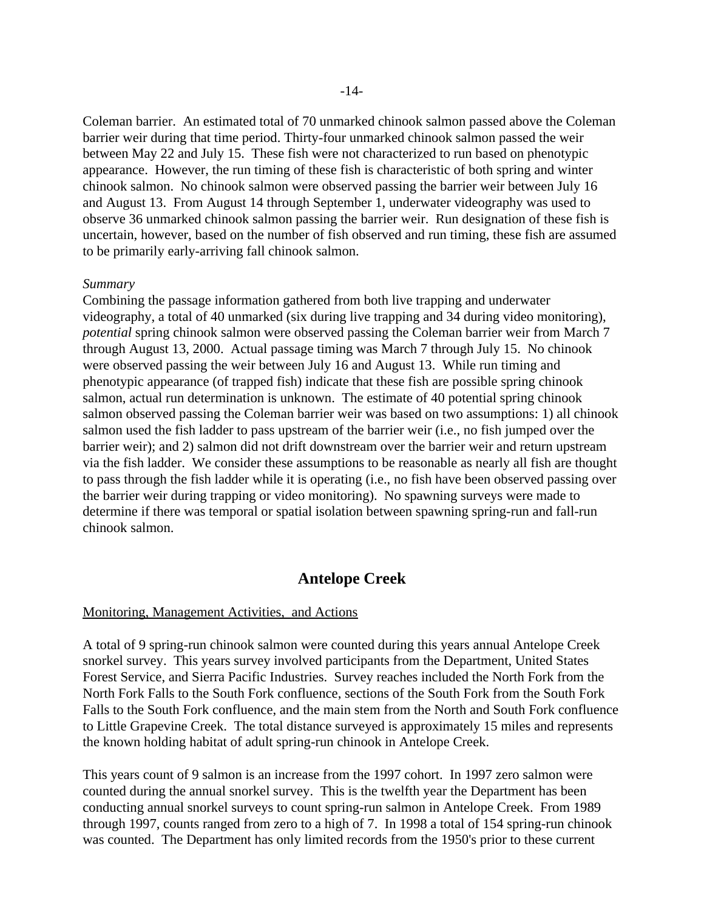Coleman barrier. An estimated total of 70 unmarked chinook salmon passed above the Coleman barrier weir during that time period. Thirty-four unmarked chinook salmon passed the weir between May 22 and July 15. These fish were not characterized to run based on phenotypic appearance. However, the run timing of these fish is characteristic of both spring and winter chinook salmon. No chinook salmon were observed passing the barrier weir between July 16 and August 13. From August 14 through September 1, underwater videography was used to observe 36 unmarked chinook salmon passing the barrier weir. Run designation of these fish is uncertain, however, based on the number of fish observed and run timing, these fish are assumed to be primarily early-arriving fall chinook salmon.

#### *Summary*

Combining the passage information gathered from both live trapping and underwater videography, a total of 40 unmarked (six during live trapping and 34 during video monitoring), *potential* spring chinook salmon were observed passing the Coleman barrier weir from March 7 through August 13, 2000. Actual passage timing was March 7 through July 15. No chinook were observed passing the weir between July 16 and August 13. While run timing and phenotypic appearance (of trapped fish) indicate that these fish are possible spring chinook salmon, actual run determination is unknown. The estimate of 40 potential spring chinook salmon observed passing the Coleman barrier weir was based on two assumptions: 1) all chinook salmon used the fish ladder to pass upstream of the barrier weir (i.e., no fish jumped over the barrier weir); and 2) salmon did not drift downstream over the barrier weir and return upstream via the fish ladder. We consider these assumptions to be reasonable as nearly all fish are thought to pass through the fish ladder while it is operating (i.e., no fish have been observed passing over the barrier weir during trapping or video monitoring). No spawning surveys were made to determine if there was temporal or spatial isolation between spawning spring-run and fall-run chinook salmon.

#### **Antelope Creek**

#### Monitoring, Management Activities, and Actions

A total of 9 spring-run chinook salmon were counted during this years annual Antelope Creek snorkel survey. This years survey involved participants from the Department, United States Forest Service, and Sierra Pacific Industries. Survey reaches included the North Fork from the North Fork Falls to the South Fork confluence, sections of the South Fork from the South Fork Falls to the South Fork confluence, and the main stem from the North and South Fork confluence to Little Grapevine Creek. The total distance surveyed is approximately 15 miles and represents the known holding habitat of adult spring-run chinook in Antelope Creek.

This years count of 9 salmon is an increase from the 1997 cohort. In 1997 zero salmon were counted during the annual snorkel survey. This is the twelfth year the Department has been conducting annual snorkel surveys to count spring-run salmon in Antelope Creek. From 1989 through 1997, counts ranged from zero to a high of 7. In 1998 a total of 154 spring-run chinook was counted. The Department has only limited records from the 1950's prior to these current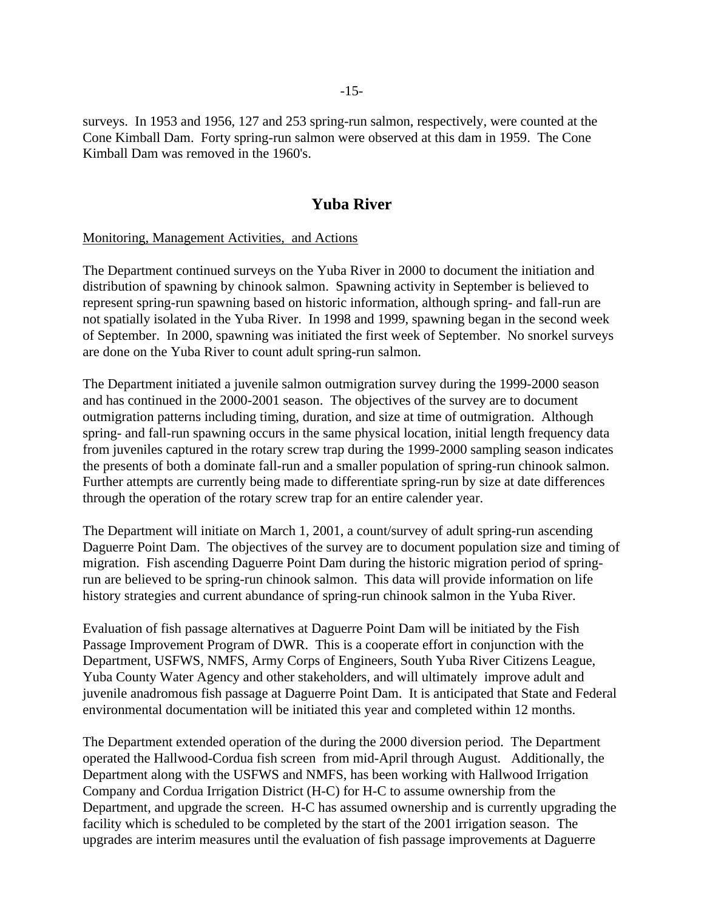surveys. In 1953 and 1956, 127 and 253 spring-run salmon, respectively, were counted at the Cone Kimball Dam. Forty spring-run salmon were observed at this dam in 1959. The Cone Kimball Dam was removed in the 1960's.

### **Yuba River**

#### Monitoring, Management Activities, and Actions

The Department continued surveys on the Yuba River in 2000 to document the initiation and distribution of spawning by chinook salmon. Spawning activity in September is believed to represent spring-run spawning based on historic information, although spring- and fall-run are not spatially isolated in the Yuba River. In 1998 and 1999, spawning began in the second week of September. In 2000, spawning was initiated the first week of September. No snorkel surveys are done on the Yuba River to count adult spring-run salmon.

The Department initiated a juvenile salmon outmigration survey during the 1999-2000 season and has continued in the 2000-2001 season. The objectives of the survey are to document outmigration patterns including timing, duration, and size at time of outmigration. Although spring- and fall-run spawning occurs in the same physical location, initial length frequency data from juveniles captured in the rotary screw trap during the 1999-2000 sampling season indicates the presents of both a dominate fall-run and a smaller population of spring-run chinook salmon. Further attempts are currently being made to differentiate spring-run by size at date differences through the operation of the rotary screw trap for an entire calender year.

The Department will initiate on March 1, 2001, a count/survey of adult spring-run ascending Daguerre Point Dam. The objectives of the survey are to document population size and timing of migration. Fish ascending Daguerre Point Dam during the historic migration period of springrun are believed to be spring-run chinook salmon. This data will provide information on life history strategies and current abundance of spring-run chinook salmon in the Yuba River.

Evaluation of fish passage alternatives at Daguerre Point Dam will be initiated by the Fish Passage Improvement Program of DWR. This is a cooperate effort in conjunction with the Department, USFWS, NMFS, Army Corps of Engineers, South Yuba River Citizens League, Yuba County Water Agency and other stakeholders, and will ultimately improve adult and juvenile anadromous fish passage at Daguerre Point Dam. It is anticipated that State and Federal environmental documentation will be initiated this year and completed within 12 months.

The Department extended operation of the during the 2000 diversion period. The Department operated the Hallwood-Cordua fish screen from mid-April through August. Additionally, the Department along with the USFWS and NMFS, has been working with Hallwood Irrigation Company and Cordua Irrigation District (H-C) for H-C to assume ownership from the Department, and upgrade the screen. H-C has assumed ownership and is currently upgrading the facility which is scheduled to be completed by the start of the 2001 irrigation season. The upgrades are interim measures until the evaluation of fish passage improvements at Daguerre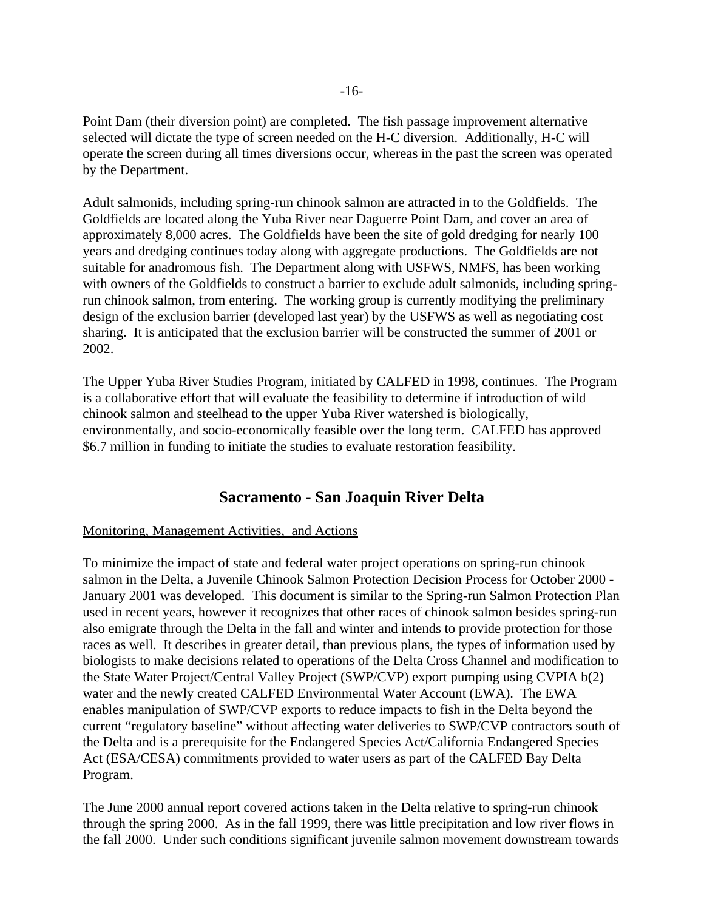Point Dam (their diversion point) are completed. The fish passage improvement alternative selected will dictate the type of screen needed on the H-C diversion. Additionally, H-C will operate the screen during all times diversions occur, whereas in the past the screen was operated by the Department.

Adult salmonids, including spring-run chinook salmon are attracted in to the Goldfields. The Goldfields are located along the Yuba River near Daguerre Point Dam, and cover an area of approximately 8,000 acres. The Goldfields have been the site of gold dredging for nearly 100 years and dredging continues today along with aggregate productions. The Goldfields are not suitable for anadromous fish. The Department along with USFWS, NMFS, has been working with owners of the Goldfields to construct a barrier to exclude adult salmonids, including springrun chinook salmon, from entering. The working group is currently modifying the preliminary design of the exclusion barrier (developed last year) by the USFWS as well as negotiating cost sharing. It is anticipated that the exclusion barrier will be constructed the summer of 2001 or 2002.

The Upper Yuba River Studies Program, initiated by CALFED in 1998, continues. The Program is a collaborative effort that will evaluate the feasibility to determine if introduction of wild chinook salmon and steelhead to the upper Yuba River watershed is biologically, environmentally, and socio-economically feasible over the long term. CALFED has approved \$6.7 million in funding to initiate the studies to evaluate restoration feasibility.

### **Sacramento - San Joaquin River Delta**

#### Monitoring, Management Activities, and Actions

To minimize the impact of state and federal water project operations on spring-run chinook salmon in the Delta, a Juvenile Chinook Salmon Protection Decision Process for October 2000 - January 2001 was developed. This document is similar to the Spring-run Salmon Protection Plan used in recent years, however it recognizes that other races of chinook salmon besides spring-run also emigrate through the Delta in the fall and winter and intends to provide protection for those races as well. It describes in greater detail, than previous plans, the types of information used by biologists to make decisions related to operations of the Delta Cross Channel and modification to the State Water Project/Central Valley Project (SWP/CVP) export pumping using CVPIA b(2) water and the newly created CALFED Environmental Water Account (EWA). The EWA enables manipulation of SWP/CVP exports to reduce impacts to fish in the Delta beyond the current "regulatory baseline" without affecting water deliveries to SWP/CVP contractors south of the Delta and is a prerequisite for the Endangered Species Act/California Endangered Species Act (ESA/CESA) commitments provided to water users as part of the CALFED Bay Delta Program.

The June 2000 annual report covered actions taken in the Delta relative to spring-run chinook through the spring 2000. As in the fall 1999, there was little precipitation and low river flows in the fall 2000. Under such conditions significant juvenile salmon movement downstream towards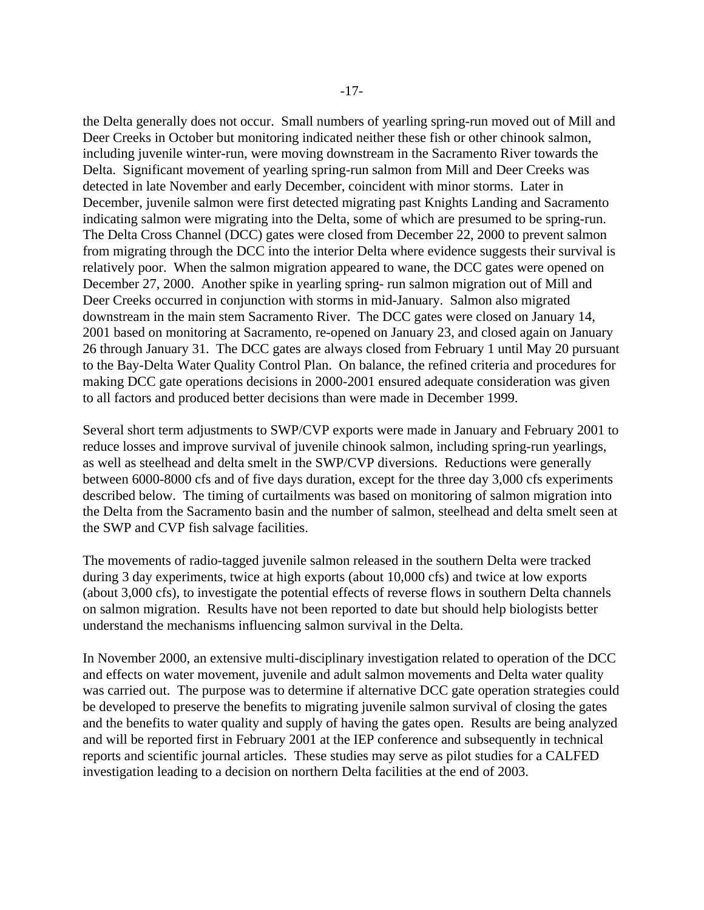the Delta generally does not occur. Small numbers of yearling spring-run moved out of Mill and Deer Creeks in October but monitoring indicated neither these fish or other chinook salmon, including juvenile winter-run, were moving downstream in the Sacramento River towards the Delta. Significant movement of yearling spring-run salmon from Mill and Deer Creeks was detected in late November and early December, coincident with minor storms. Later in December, juvenile salmon were first detected migrating past Knights Landing and Sacramento indicating salmon were migrating into the Delta, some of which are presumed to be spring-run. The Delta Cross Channel (DCC) gates were closed from December 22, 2000 to prevent salmon from migrating through the DCC into the interior Delta where evidence suggests their survival is relatively poor. When the salmon migration appeared to wane, the DCC gates were opened on December 27, 2000. Another spike in yearling spring- run salmon migration out of Mill and Deer Creeks occurred in conjunction with storms in mid-January. Salmon also migrated downstream in the main stem Sacramento River. The DCC gates were closed on January 14, 2001 based on monitoring at Sacramento, re-opened on January 23, and closed again on January 26 through January 31. The DCC gates are always closed from February 1 until May 20 pursuant to the Bay-Delta Water Quality Control Plan. On balance, the refined criteria and procedures for making DCC gate operations decisions in 2000-2001 ensured adequate consideration was given to all factors and produced better decisions than were made in December 1999.

Several short term adjustments to SWP/CVP exports were made in January and February 2001 to reduce losses and improve survival of juvenile chinook salmon, including spring-run yearlings, as well as steelhead and delta smelt in the SWP/CVP diversions. Reductions were generally between 6000-8000 cfs and of five days duration, except for the three day 3,000 cfs experiments described below. The timing of curtailments was based on monitoring of salmon migration into the Delta from the Sacramento basin and the number of salmon, steelhead and delta smelt seen at the SWP and CVP fish salvage facilities.

The movements of radio-tagged juvenile salmon released in the southern Delta were tracked during 3 day experiments, twice at high exports (about 10,000 cfs) and twice at low exports (about 3,000 cfs), to investigate the potential effects of reverse flows in southern Delta channels on salmon migration. Results have not been reported to date but should help biologists better understand the mechanisms influencing salmon survival in the Delta.

In November 2000, an extensive multi-disciplinary investigation related to operation of the DCC and effects on water movement, juvenile and adult salmon movements and Delta water quality was carried out. The purpose was to determine if alternative DCC gate operation strategies could be developed to preserve the benefits to migrating juvenile salmon survival of closing the gates and the benefits to water quality and supply of having the gates open. Results are being analyzed and will be reported first in February 2001 at the IEP conference and subsequently in technical reports and scientific journal articles. These studies may serve as pilot studies for a CALFED investigation leading to a decision on northern Delta facilities at the end of 2003.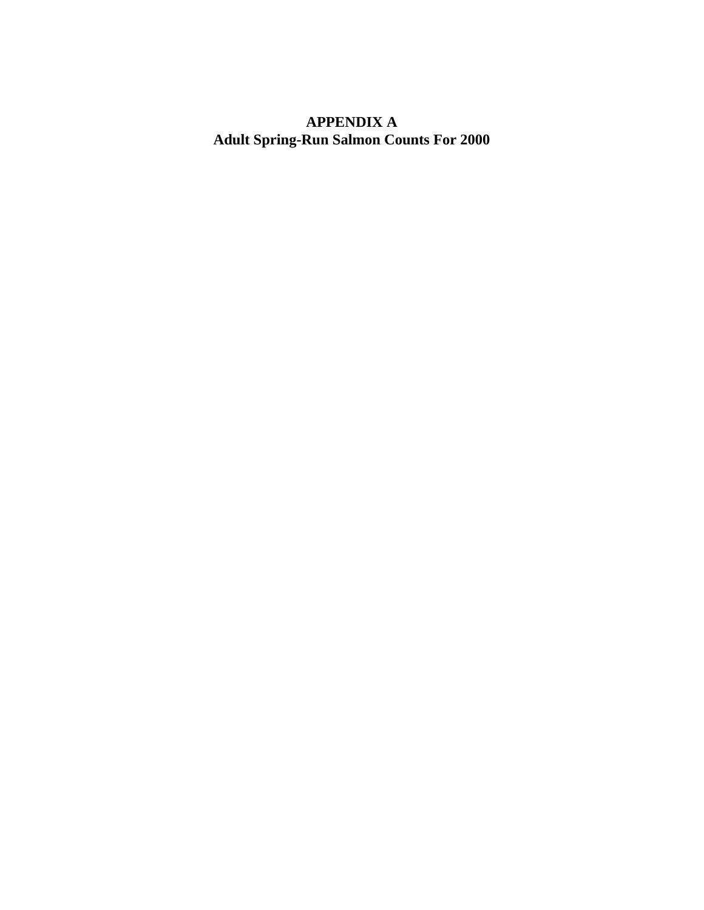# **APPENDIX A Adult Spring-Run Salmon Counts For 2000**